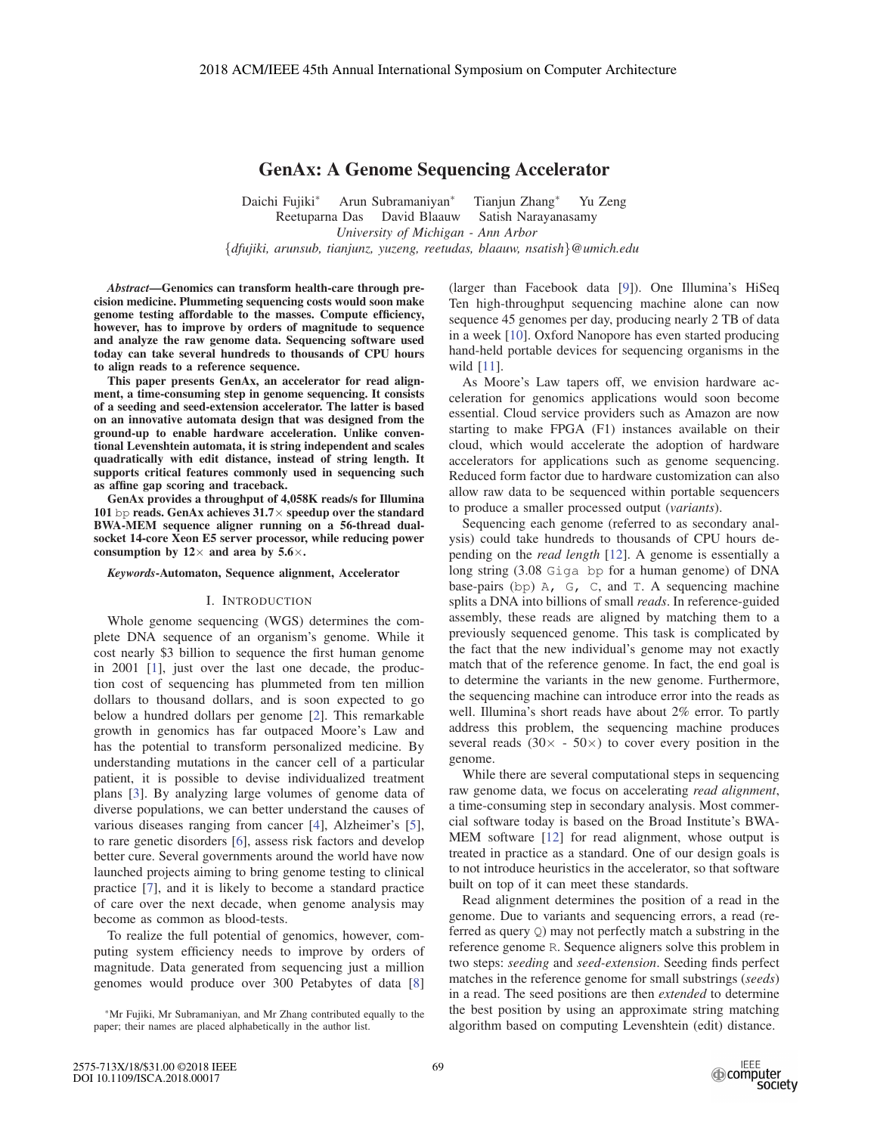# GenAx: A Genome Sequencing Accelerator

Daichi Fujiki<sup>∗</sup> Arun Subramaniyan<sup>∗</sup> Tianjun Zhang<sup>∗</sup> Yu Zeng Reetuparna Das David Blaauw Satish Narayanasamy *University of Michigan - Ann Arbor* {*dfujiki, arunsub, tianjunz, yuzeng, reetudas, blaauw, nsatish*}*@umich.edu*

*Abstract*—Genomics can transform health-care through precision medicine. Plummeting sequencing costs would soon make genome testing affordable to the masses. Compute efficiency, however, has to improve by orders of magnitude to sequence and analyze the raw genome data. Sequencing software used today can take several hundreds to thousands of CPU hours to align reads to a reference sequence.

This paper presents GenAx, an accelerator for read alignment, a time-consuming step in genome sequencing. It consists of a seeding and seed-extension accelerator. The latter is based on an innovative automata design that was designed from the ground-up to enable hardware acceleration. Unlike conventional Levenshtein automata, it is string independent and scales quadratically with edit distance, instead of string length. It supports critical features commonly used in sequencing such as affine gap scoring and traceback.

GenAx provides a throughput of 4,058K reads/s for Illumina 101 bp reads. GenAx achieves  $31.7\times$  speedup over the standard BWA-MEM sequence aligner running on a 56-thread dualsocket 14-core Xeon E5 server processor, while reducing power consumption by  $12\times$  and area by  $5.6\times$ .

*Keywords*-Automaton, Sequence alignment, Accelerator

## I. INTRODUCTION

Whole genome sequencing (WGS) determines the complete DNA sequence of an organism's genome. While it cost nearly \$3 billion to sequence the first human genome in 2001 [1], just over the last one decade, the production cost of sequencing has plummeted from ten million dollars to thousand dollars, and is soon expected to go below a hundred dollars per genome [2]. This remarkable growth in genomics has far outpaced Moore's Law and has the potential to transform personalized medicine. By understanding mutations in the cancer cell of a particular patient, it is possible to devise individualized treatment plans [3]. By analyzing large volumes of genome data of diverse populations, we can better understand the causes of various diseases ranging from cancer [4], Alzheimer's [5], to rare genetic disorders [6], assess risk factors and develop better cure. Several governments around the world have now launched projects aiming to bring genome testing to clinical practice [7], and it is likely to become a standard practice of care over the next decade, when genome analysis may become as common as blood-tests.

To realize the full potential of genomics, however, computing system efficiency needs to improve by orders of magnitude. Data generated from sequencing just a million genomes would produce over 300 Petabytes of data [8]

(larger than Facebook data [9]). One Illumina's HiSeq Ten high-throughput sequencing machine alone can now sequence 45 genomes per day, producing nearly 2 TB of data in a week [10]. Oxford Nanopore has even started producing hand-held portable devices for sequencing organisms in the wild [11].

As Moore's Law tapers off, we envision hardware acceleration for genomics applications would soon become essential. Cloud service providers such as Amazon are now starting to make FPGA (F1) instances available on their cloud, which would accelerate the adoption of hardware accelerators for applications such as genome sequencing. Reduced form factor due to hardware customization can also allow raw data to be sequenced within portable sequencers to produce a smaller processed output (*variants*).

Sequencing each genome (referred to as secondary analysis) could take hundreds to thousands of CPU hours depending on the *read length* [12]. A genome is essentially a long string (3.08 Giga bp for a human genome) of DNA base-pairs (bp)  $A$ ,  $G$ ,  $C$ , and  $T$ . A sequencing machine splits a DNA into billions of small *reads*. In reference-guided assembly, these reads are aligned by matching them to a previously sequenced genome. This task is complicated by the fact that the new individual's genome may not exactly match that of the reference genome. In fact, the end goal is to determine the variants in the new genome. Furthermore, the sequencing machine can introduce error into the reads as well. Illumina's short reads have about 2% error. To partly address this problem, the sequencing machine produces several reads  $(30 \times -50 \times)$  to cover every position in the genome.

While there are several computational steps in sequencing raw genome data, we focus on accelerating *read alignment*, a time-consuming step in secondary analysis. Most commercial software today is based on the Broad Institute's BWA-MEM software [12] for read alignment, whose output is treated in practice as a standard. One of our design goals is to not introduce heuristics in the accelerator, so that software built on top of it can meet these standards.

Read alignment determines the position of a read in the genome. Due to variants and sequencing errors, a read (referred as query Q) may not perfectly match a substring in the reference genome R. Sequence aligners solve this problem in two steps: *seeding* and *seed-extension*. Seeding finds perfect matches in the reference genome for small substrings (*seeds*) in a read. The seed positions are then *extended* to determine the best position by using an approximate string matching algorithm based on computing Levenshtein (edit) distance.

<sup>∗</sup>Mr Fujiki, Mr Subramaniyan, and Mr Zhang contributed equally to the paper; their names are placed alphabetically in the author list.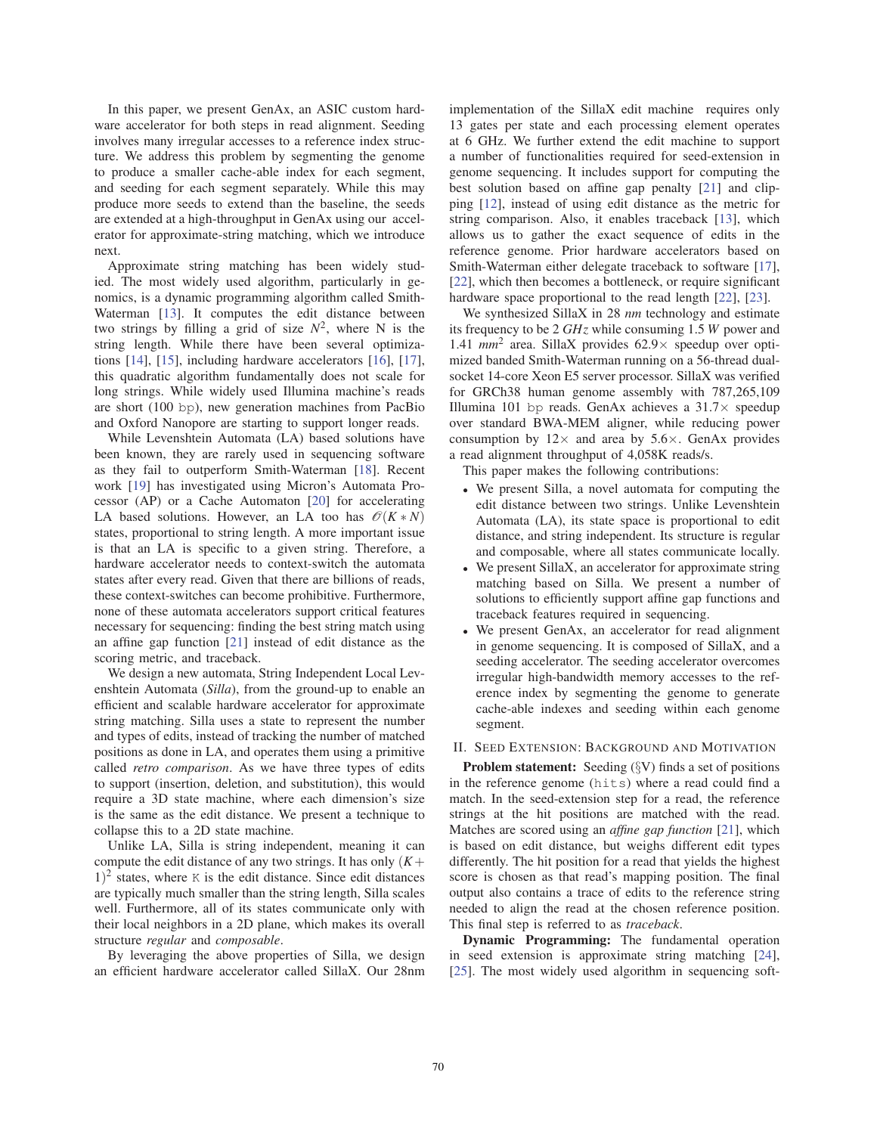In this paper, we present GenAx, an ASIC custom hardware accelerator for both steps in read alignment. Seeding involves many irregular accesses to a reference index structure. We address this problem by segmenting the genome to produce a smaller cache-able index for each segment, and seeding for each segment separately. While this may produce more seeds to extend than the baseline, the seeds are extended at a high-throughput in GenAx using our accelerator for approximate-string matching, which we introduce next.

Approximate string matching has been widely studied. The most widely used algorithm, particularly in genomics, is a dynamic programming algorithm called Smith-Waterman [13]. It computes the edit distance between two strings by filling a grid of size  $N^2$ , where N is the string length. While there have been several optimizations [14], [15], including hardware accelerators [16], [17], this quadratic algorithm fundamentally does not scale for long strings. While widely used Illumina machine's reads are short (100 bp), new generation machines from PacBio and Oxford Nanopore are starting to support longer reads.

While Levenshtein Automata (LA) based solutions have been known, they are rarely used in sequencing software as they fail to outperform Smith-Waterman [18]. Recent work [19] has investigated using Micron's Automata Processor (AP) or a Cache Automaton [20] for accelerating LA based solutions. However, an LA too has  $\mathcal{O}(K*N)$ states, proportional to string length. A more important issue is that an LA is specific to a given string. Therefore, a hardware accelerator needs to context-switch the automata states after every read. Given that there are billions of reads, these context-switches can become prohibitive. Furthermore, none of these automata accelerators support critical features necessary for sequencing: finding the best string match using an affine gap function [21] instead of edit distance as the scoring metric, and traceback.

We design a new automata, String Independent Local Levenshtein Automata (*Silla*), from the ground-up to enable an efficient and scalable hardware accelerator for approximate string matching. Silla uses a state to represent the number and types of edits, instead of tracking the number of matched positions as done in LA, and operates them using a primitive called *retro comparison*. As we have three types of edits to support (insertion, deletion, and substitution), this would require a 3D state machine, where each dimension's size is the same as the edit distance. We present a technique to collapse this to a 2D state machine.

Unlike LA, Silla is string independent, meaning it can compute the edit distance of any two strings. It has only  $(K +$  $(1)^2$  states, where K is the edit distance. Since edit distances are typically much smaller than the string length, Silla scales well. Furthermore, all of its states communicate only with their local neighbors in a 2D plane, which makes its overall structure *regular* and *composable*.

By leveraging the above properties of Silla, we design an efficient hardware accelerator called SillaX. Our 28nm

implementation of the SillaX edit machine requires only 13 gates per state and each processing element operates at 6 GHz. We further extend the edit machine to support a number of functionalities required for seed-extension in genome sequencing. It includes support for computing the best solution based on affine gap penalty [21] and clipping [12], instead of using edit distance as the metric for string comparison. Also, it enables traceback [13], which allows us to gather the exact sequence of edits in the reference genome. Prior hardware accelerators based on Smith-Waterman either delegate traceback to software [17], [22], which then becomes a bottleneck, or require significant hardware space proportional to the read length [22], [23].

We synthesized SillaX in 28 *nm* technology and estimate its frequency to be 2 *GHz* while consuming 1.5 *W* power and 1.41 *mm*<sup>2</sup> area. SillaX provides 62.9× speedup over optimized banded Smith-Waterman running on a 56-thread dualsocket 14-core Xeon E5 server processor. SillaX was verified for GRCh38 human genome assembly with 787,265,109 Illumina 101 bp reads. GenAx achieves a  $31.7\times$  speedup over standard BWA-MEM aligner, while reducing power consumption by  $12 \times$  and area by  $5.6 \times$ . GenAx provides a read alignment throughput of 4,058K reads/s.

This paper makes the following contributions:

- We present Silla, a novel automata for computing the edit distance between two strings. Unlike Levenshtein Automata (LA), its state space is proportional to edit distance, and string independent. Its structure is regular and composable, where all states communicate locally.
- We present SillaX, an accelerator for approximate string matching based on Silla. We present a number of solutions to efficiently support affine gap functions and traceback features required in sequencing.
- We present GenAx, an accelerator for read alignment in genome sequencing. It is composed of SillaX, and a seeding accelerator. The seeding accelerator overcomes irregular high-bandwidth memory accesses to the reference index by segmenting the genome to generate cache-able indexes and seeding within each genome segment.

## II. SEED EXTENSION: BACKGROUND AND MOTIVATION

**Problem statement:** Seeding  $(\S{V})$  finds a set of positions in the reference genome (hits) where a read could find a match. In the seed-extension step for a read, the reference strings at the hit positions are matched with the read. Matches are scored using an *affine gap function* [21], which is based on edit distance, but weighs different edit types differently. The hit position for a read that yields the highest score is chosen as that read's mapping position. The final output also contains a trace of edits to the reference string needed to align the read at the chosen reference position. This final step is referred to as *traceback*.

Dynamic Programming: The fundamental operation in seed extension is approximate string matching [24], [25]. The most widely used algorithm in sequencing soft-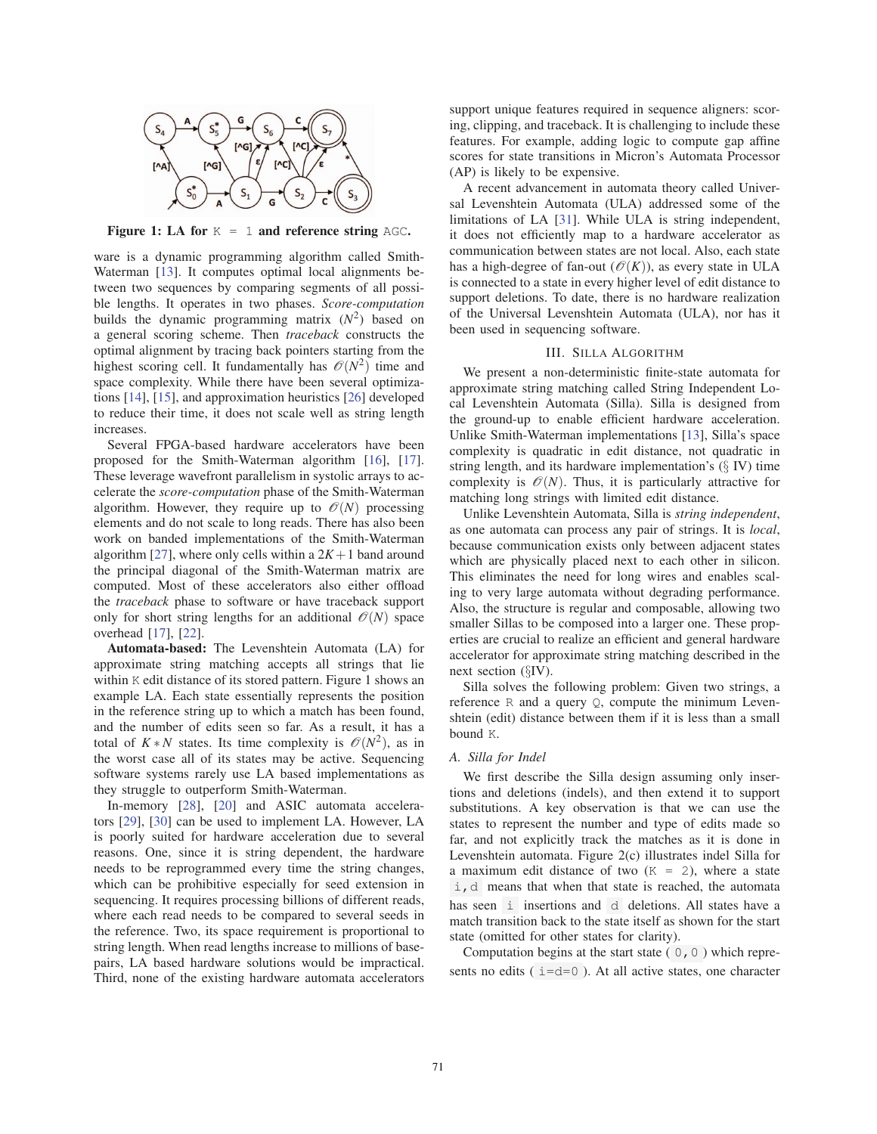

Figure 1: LA for  $K = 1$  and reference string AGC.

ware is a dynamic programming algorithm called Smith-Waterman [13]. It computes optimal local alignments between two sequences by comparing segments of all possible lengths. It operates in two phases. *Score-computation* builds the dynamic programming matrix  $(N^2)$  based on a general scoring scheme. Then *traceback* constructs the optimal alignment by tracing back pointers starting from the highest scoring cell. It fundamentally has  $\mathcal{O}(N^2)$  time and space complexity. While there have been several optimizations [14], [15], and approximation heuristics [26] developed to reduce their time, it does not scale well as string length increases.

Several FPGA-based hardware accelerators have been proposed for the Smith-Waterman algorithm [16], [17]. These leverage wavefront parallelism in systolic arrays to accelerate the *score-computation* phase of the Smith-Waterman algorithm. However, they require up to  $\mathcal{O}(N)$  processing elements and do not scale to long reads. There has also been work on banded implementations of the Smith-Waterman algorithm [27], where only cells within a  $2K+1$  band around the principal diagonal of the Smith-Waterman matrix are computed. Most of these accelerators also either offload the *traceback* phase to software or have traceback support only for short string lengths for an additional  $\mathcal{O}(N)$  space overhead [17], [22].

Automata-based: The Levenshtein Automata (LA) for approximate string matching accepts all strings that lie within K edit distance of its stored pattern. Figure 1 shows an example LA. Each state essentially represents the position in the reference string up to which a match has been found, and the number of edits seen so far. As a result, it has a total of  $K*N$  states. Its time complexity is  $\mathcal{O}(N^2)$ , as in the worst case all of its states may be active. Sequencing software systems rarely use LA based implementations as they struggle to outperform Smith-Waterman.

In-memory [28], [20] and ASIC automata accelerators [29], [30] can be used to implement LA. However, LA is poorly suited for hardware acceleration due to several reasons. One, since it is string dependent, the hardware needs to be reprogrammed every time the string changes, which can be prohibitive especially for seed extension in sequencing. It requires processing billions of different reads, where each read needs to be compared to several seeds in the reference. Two, its space requirement is proportional to string length. When read lengths increase to millions of basepairs, LA based hardware solutions would be impractical. Third, none of the existing hardware automata accelerators

support unique features required in sequence aligners: scoring, clipping, and traceback. It is challenging to include these features. For example, adding logic to compute gap affine scores for state transitions in Micron's Automata Processor (AP) is likely to be expensive.

A recent advancement in automata theory called Universal Levenshtein Automata (ULA) addressed some of the limitations of LA [31]. While ULA is string independent, it does not efficiently map to a hardware accelerator as communication between states are not local. Also, each state has a high-degree of fan-out  $(\mathcal{O}(K))$ , as every state in ULA is connected to a state in every higher level of edit distance to support deletions. To date, there is no hardware realization of the Universal Levenshtein Automata (ULA), nor has it been used in sequencing software.

## III. SILLA ALGORITHM

We present a non-deterministic finite-state automata for approximate string matching called String Independent Local Levenshtein Automata (Silla). Silla is designed from the ground-up to enable efficient hardware acceleration. Unlike Smith-Waterman implementations [13], Silla's space complexity is quadratic in edit distance, not quadratic in string length, and its hardware implementation's  $(\S$  IV) time complexity is  $\mathcal{O}(N)$ . Thus, it is particularly attractive for matching long strings with limited edit distance.

Unlike Levenshtein Automata, Silla is *string independent*, as one automata can process any pair of strings. It is *local*, because communication exists only between adjacent states which are physically placed next to each other in silicon. This eliminates the need for long wires and enables scaling to very large automata without degrading performance. Also, the structure is regular and composable, allowing two smaller Sillas to be composed into a larger one. These properties are crucial to realize an efficient and general hardware accelerator for approximate string matching described in the next section (§IV).

Silla solves the following problem: Given two strings, a reference R and a query Q, compute the minimum Levenshtein (edit) distance between them if it is less than a small bound K.

## *A. Silla for Indel*

We first describe the Silla design assuming only insertions and deletions (indels), and then extend it to support substitutions. A key observation is that we can use the states to represent the number and type of edits made so far, and not explicitly track the matches as it is done in Levenshtein automata. Figure 2(c) illustrates indel Silla for a maximum edit distance of two  $(K = 2)$ , where a state i,d means that when that state is reached, the automata has seen i insertions and d deletions. All states have a match transition back to the state itself as shown for the start state (omitted for other states for clarity).

Computation begins at the start state  $(0, 0)$  which represents no edits  $(i=0)$ . At all active states, one character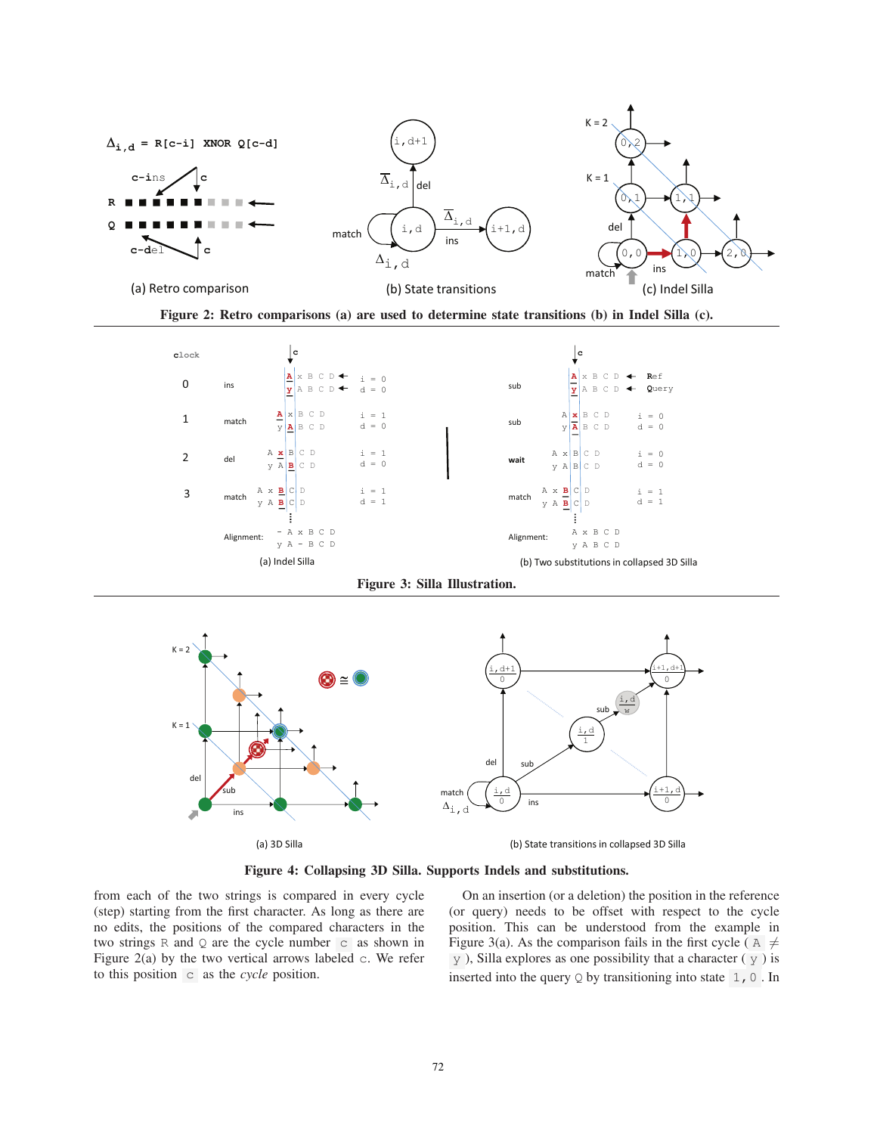

Figure 2: Retro comparisons (a) are used to determine state transitions (b) in Indel Silla (c).



Figure 3: Silla Illustration.



(b) State transitions in collapsed 3D Silla

Figure 4: Collapsing 3D Silla. Supports Indels and substitutions.

from each of the two strings is compared in every cycle (step) starting from the first character. As long as there are no edits, the positions of the compared characters in the two strings  $R$  and  $Q$  are the cycle number  $C$  as shown in Figure  $2(a)$  by the two vertical arrows labeled c. We refer to this position c as the *cycle* position.

On an insertion (or a deletion) the position in the reference (or query) needs to be offset with respect to the cycle position. This can be understood from the example in Figure 3(a). As the comparison fails in the first cycle ( $A \neq$  $y$ ), Silla explores as one possibility that a character ( $y$ ) is inserted into the query  $Q$  by transitioning into state  $1, 0$ . In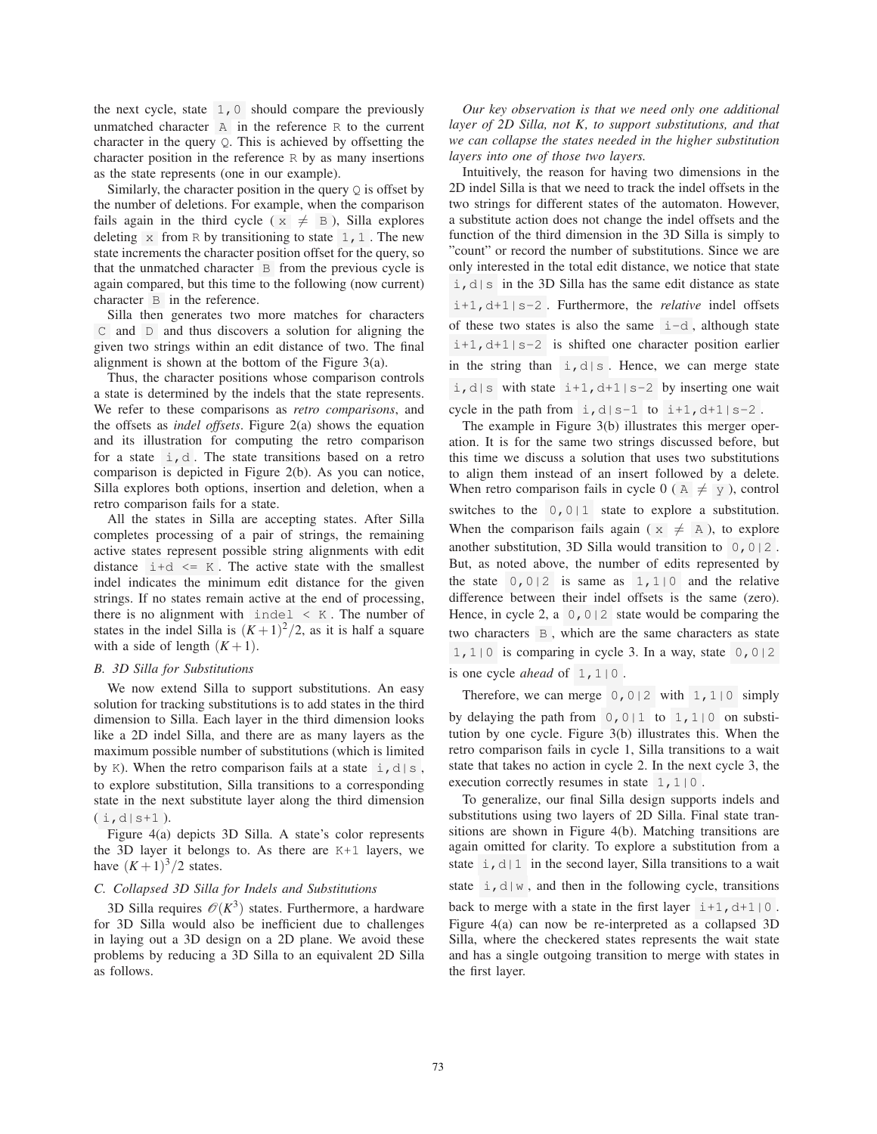the next cycle, state  $1, 0$  should compare the previously unmatched character A in the reference R to the current character in the query  $\overline{Q}$ . This is achieved by offsetting the character position in the reference R by as many insertions as the state represents (one in our example).

Similarly, the character position in the query  $\Diamond$  is offset by the number of deletions. For example, when the comparison fails again in the third cycle ( $x \neq B$ ), Silla explores deleting  $x$  from R by transitioning to state 1, 1. The new state increments the character position offset for the query, so that the unmatched character B from the previous cycle is again compared, but this time to the following (now current) character B in the reference.

Silla then generates two more matches for characters C and D and thus discovers a solution for aligning the given two strings within an edit distance of two. The final alignment is shown at the bottom of the Figure 3(a).

Thus, the character positions whose comparison controls a state is determined by the indels that the state represents. We refer to these comparisons as *retro comparisons*, and the offsets as *indel offsets*. Figure 2(a) shows the equation and its illustration for computing the retro comparison for a state  $i, d$ . The state transitions based on a retro comparison is depicted in Figure 2(b). As you can notice, Silla explores both options, insertion and deletion, when a retro comparison fails for a state.

All the states in Silla are accepting states. After Silla completes processing of a pair of strings, the remaining active states represent possible string alignments with edit distance  $i+d \leq K$ . The active state with the smallest indel indicates the minimum edit distance for the given strings. If no states remain active at the end of processing, there is no alignment with  $index < K$ . The number of states in the indel Silla is  $(K+1)^2/2$ , as it is half a square with a side of length  $(K+1)$ .

### *B. 3D Silla for Substitutions*

We now extend Silla to support substitutions. An easy solution for tracking substitutions is to add states in the third dimension to Silla. Each layer in the third dimension looks like a 2D indel Silla, and there are as many layers as the maximum possible number of substitutions (which is limited by K). When the retro comparison fails at a state  $\pm$ ,  $d|s$ , to explore substitution, Silla transitions to a corresponding state in the next substitute layer along the third dimension  $(i,d|s+1)$ .

Figure 4(a) depicts 3D Silla. A state's color represents the 3D layer it belongs to. As there are K+1 layers, we have  $(K+1)^3/2$  states.

# *C. Collapsed 3D Silla for Indels and Substitutions*

3D Silla requires  $\mathcal{O}(K^3)$  states. Furthermore, a hardware for 3D Silla would also be inefficient due to challenges in laying out a 3D design on a 2D plane. We avoid these problems by reducing a 3D Silla to an equivalent 2D Silla as follows.

*Our key observation is that we need only one additional layer of 2D Silla, not K, to support substitutions, and that we can collapse the states needed in the higher substitution layers into one of those two layers.*

Intuitively, the reason for having two dimensions in the 2D indel Silla is that we need to track the indel offsets in the two strings for different states of the automaton. However, a substitute action does not change the indel offsets and the function of the third dimension in the 3D Silla is simply to "count" or record the number of substitutions. Since we are only interested in the total edit distance, we notice that state i,d|s in the 3D Silla has the same edit distance as state i+1,d+1|s-2 . Furthermore, the *relative* indel offsets of these two states is also the same  $i-d$ , although state i+1,d+1|s-2 is shifted one character position earlier in the string than  $i$ ,  $d|s$ . Hence, we can merge state i, d|s with state i+1, d+1|s-2 by inserting one wait cycle in the path from  $i$ ,  $d|s-1$  to  $i+1$ ,  $d+1|s-2$ .

The example in Figure 3(b) illustrates this merger operation. It is for the same two strings discussed before, but this time we discuss a solution that uses two substitutions to align them instead of an insert followed by a delete. When retro comparison fails in cycle 0 ( $A \neq y$ ), control switches to the 0,0|1 state to explore a substitution. When the comparison fails again ( $x \neq A$ ), to explore another substitution, 3D Silla would transition to  $0, 0|2$ . But, as noted above, the number of edits represented by the state  $0,0|2$  is same as 1,1|0 and the relative difference between their indel offsets is the same (zero). Hence, in cycle 2, a  $\binom{0}{2}$  state would be comparing the two characters B , which are the same characters as state  $1, 1$ |0 is comparing in cycle 3. In a way, state 0,0|2 is one cycle *ahead* of  $1, 1|0$ .

Therefore, we can merge  $0, 0|2$  with 1, 1|0 simply by delaying the path from  $0,0|1$  to 1, 1|0 on substitution by one cycle. Figure 3(b) illustrates this. When the retro comparison fails in cycle 1, Silla transitions to a wait state that takes no action in cycle 2. In the next cycle 3, the execution correctly resumes in state  $1,1|0$ .

To generalize, our final Silla design supports indels and substitutions using two layers of 2D Silla. Final state transitions are shown in Figure 4(b). Matching transitions are again omitted for clarity. To explore a substitution from a state  $i$ ,  $d|1$  in the second layer, Silla transitions to a wait state  $i$ ,  $d|w$ , and then in the following cycle, transitions back to merge with a state in the first layer  $i+1$ ,  $d+1$  | 0. Figure 4(a) can now be re-interpreted as a collapsed 3D Silla, where the checkered states represents the wait state and has a single outgoing transition to merge with states in the first layer.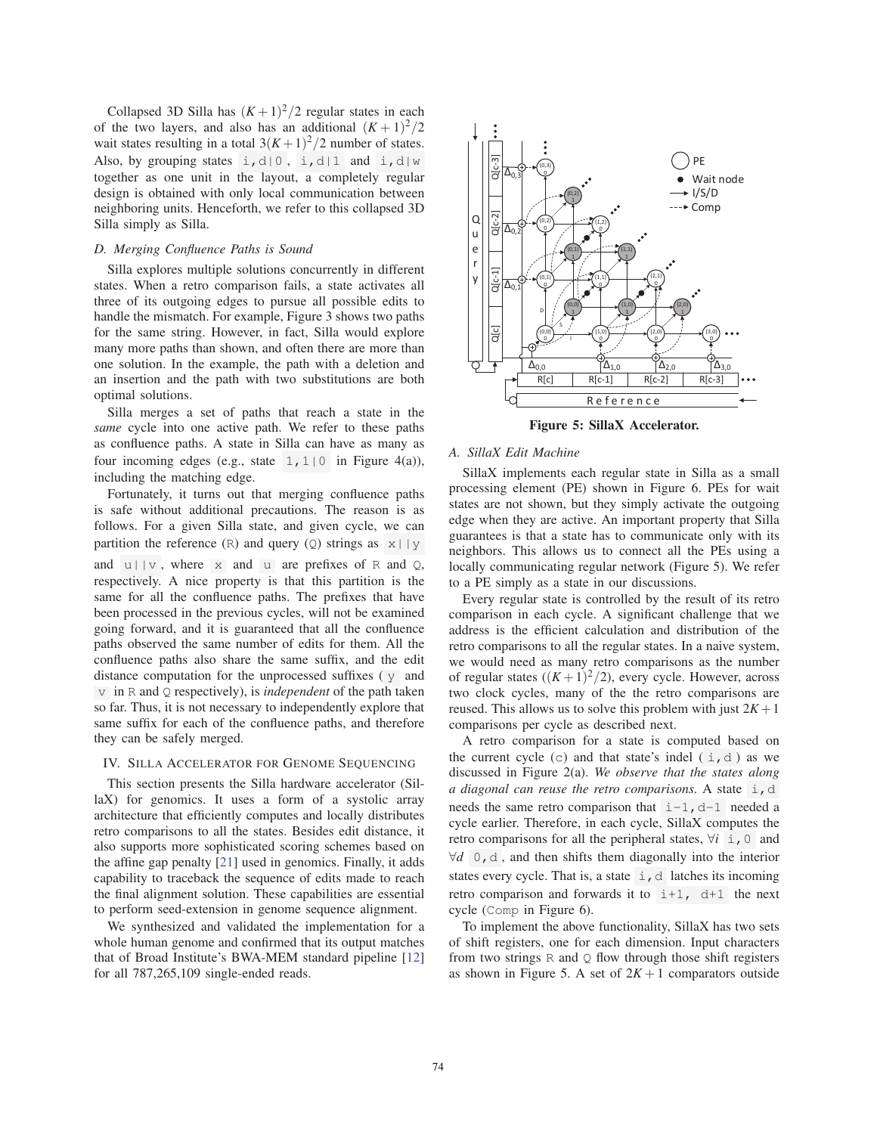Collapsed 3D Silla has  $(K+1)^2/2$  regular states in each of the two layers, and also has an additional  $(K + 1)^2/2$ wait states resulting in a total  $3(K+1)^2/2$  number of states. Also, by grouping states  $i, d | 0, i, d | 1$  and  $i, d | w$ together as one unit in the layout, a completely regular design is obtained with only local communication between neighboring units. Henceforth, we refer to this collapsed 3D Silla simply as Silla.

#### *D. Merging Confluence Paths is Sound*

Silla explores multiple solutions concurrently in different states. When a retro comparison fails, a state activates all three of its outgoing edges to pursue all possible edits to handle the mismatch. For example, Figure 3 shows two paths for the same string. However, in fact, Silla would explore many more paths than shown, and often there are more than one solution. In the example, the path with a deletion and an insertion and the path with two substitutions are both optimal solutions.

Silla merges a set of paths that reach a state in the *same* cycle into one active path. We refer to these paths as confluence paths. A state in Silla can have as many as four incoming edges (e.g., state  $1,1|0$  in Figure 4(a)), including the matching edge.

Fortunately, it turns out that merging confluence paths is safe without additional precautions. The reason is as follows. For a given Silla state, and given cycle, we can partition the reference (R) and query (Q) strings as  $x \mid y$ and  $u||v$ , where x and u are prefixes of R and Q, respectively. A nice property is that this partition is the same for all the confluence paths. The prefixes that have been processed in the previous cycles, will not be examined going forward, and it is guaranteed that all the confluence paths observed the same number of edits for them. All the confluence paths also share the same suffix, and the edit distance computation for the unprocessed suffixes ( y and v in R and Q respectively), is *independent* of the path taken so far. Thus, it is not necessary to independently explore that same suffix for each of the confluence paths, and therefore they can be safely merged.

#### IV. SILLA ACCELERATOR FOR GENOME SEQUENCING

This section presents the Silla hardware accelerator (SillaX) for genomics. It uses a form of a systolic array architecture that efficiently computes and locally distributes retro comparisons to all the states. Besides edit distance, it also supports more sophisticated scoring schemes based on the affine gap penalty [21] used in genomics. Finally, it adds capability to traceback the sequence of edits made to reach the final alignment solution. These capabilities are essential to perform seed-extension in genome sequence alignment.

We synthesized and validated the implementation for a whole human genome and confirmed that its output matches that of Broad Institute's BWA-MEM standard pipeline [12] for all 787,265,109 single-ended reads.



Figure 5: SillaX Accelerator.

#### *A. SillaX Edit Machine*

SillaX implements each regular state in Silla as a small processing element (PE) shown in Figure 6. PEs for wait states are not shown, but they simply activate the outgoing edge when they are active. An important property that Silla guarantees is that a state has to communicate only with its neighbors. This allows us to connect all the PEs using a locally communicating regular network (Figure 5). We refer to a PE simply as a state in our discussions.

Every regular state is controlled by the result of its retro comparison in each cycle. A significant challenge that we address is the efficient calculation and distribution of the retro comparisons to all the regular states. In a naive system, we would need as many retro comparisons as the number of regular states  $((K+1)^2/2)$ , every cycle. However, across two clock cycles, many of the the retro comparisons are reused. This allows us to solve this problem with just  $2K + 1$ comparisons per cycle as described next.

A retro comparison for a state is computed based on the current cycle (c) and that state's indel  $(i, d)$  as we discussed in Figure 2(a). *We observe that the states along a diagonal can reuse the retro comparisons*. A state i,d needs the same retro comparison that  $i-1$ ,  $d-1$  needed a cycle earlier. Therefore, in each cycle, SillaX computes the retro comparisons for all the peripheral states, ∀*i* i,0 and ∀*d* 0,d , and then shifts them diagonally into the interior states every cycle. That is, a state  $\pm$ , d latches its incoming retro comparison and forwards it to  $i+1$ ,  $d+1$  the next cycle (Comp in Figure 6).

To implement the above functionality, SillaX has two sets of shift registers, one for each dimension. Input characters from two strings  $R$  and  $Q$  flow through those shift registers as shown in Figure 5. A set of  $2K + 1$  comparators outside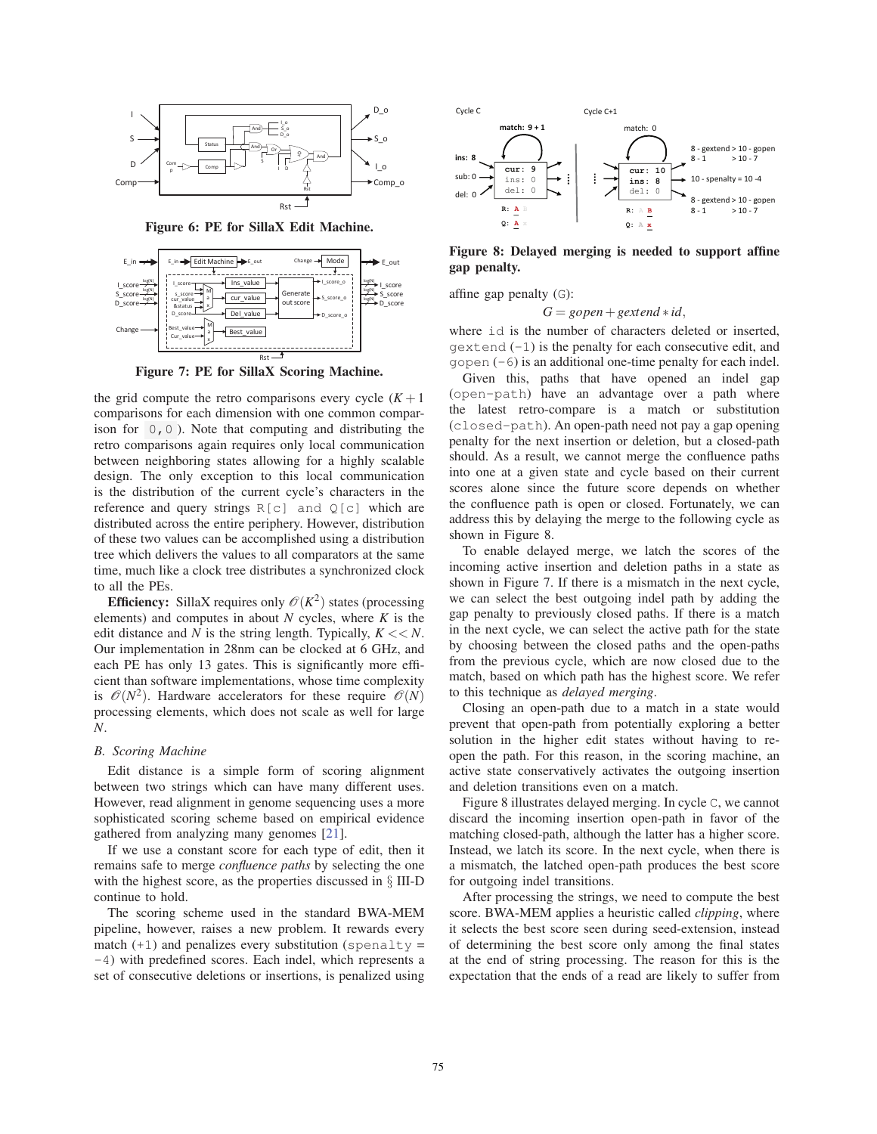

Figure 6: PE for SillaX Edit Machine.



Figure 7: PE for SillaX Scoring Machine.

the grid compute the retro comparisons every cycle  $(K + 1)$ comparisons for each dimension with one common comparison for  $(0, 0)$ . Note that computing and distributing the retro comparisons again requires only local communication between neighboring states allowing for a highly scalable design. The only exception to this local communication is the distribution of the current cycle's characters in the reference and query strings R[c] and Q[c] which are distributed across the entire periphery. However, distribution of these two values can be accomplished using a distribution tree which delivers the values to all comparators at the same time, much like a clock tree distributes a synchronized clock to all the PEs.

**Efficiency:** SillaX requires only  $\mathcal{O}(K^2)$  states (processing elements) and computes in about *N* cycles, where *K* is the edit distance and *N* is the string length. Typically,  $K \ll N$ . Our implementation in 28nm can be clocked at 6 GHz, and each PE has only 13 gates. This is significantly more efficient than software implementations, whose time complexity is  $\mathcal{O}(N^2)$ . Hardware accelerators for these require  $\mathcal{O}(N)$ processing elements, which does not scale as well for large *N*.

#### *B. Scoring Machine*

Edit distance is a simple form of scoring alignment between two strings which can have many different uses. However, read alignment in genome sequencing uses a more sophisticated scoring scheme based on empirical evidence gathered from analyzing many genomes [21].

If we use a constant score for each type of edit, then it remains safe to merge *confluence paths* by selecting the one with the highest score, as the properties discussed in § III-D continue to hold.

The scoring scheme used in the standard BWA-MEM pipeline, however, raises a new problem. It rewards every match  $(+1)$  and penalizes every substitution (spenalty = -4) with predefined scores. Each indel, which represents a set of consecutive deletions or insertions, is penalized using



Figure 8: Delayed merging is needed to support affine gap penalty.

affine gap penalty (G):

## $G = gopen + gestend * id,$

where id is the number of characters deleted or inserted, gextend (-1) is the penalty for each consecutive edit, and  $qopen(-6)$  is an additional one-time penalty for each indel.

Given this, paths that have opened an indel gap (open-path) have an advantage over a path where the latest retro-compare is a match or substitution (closed-path). An open-path need not pay a gap opening penalty for the next insertion or deletion, but a closed-path should. As a result, we cannot merge the confluence paths into one at a given state and cycle based on their current scores alone since the future score depends on whether the confluence path is open or closed. Fortunately, we can address this by delaying the merge to the following cycle as shown in Figure 8.

To enable delayed merge, we latch the scores of the incoming active insertion and deletion paths in a state as shown in Figure 7. If there is a mismatch in the next cycle, we can select the best outgoing indel path by adding the gap penalty to previously closed paths. If there is a match in the next cycle, we can select the active path for the state by choosing between the closed paths and the open-paths from the previous cycle, which are now closed due to the match, based on which path has the highest score. We refer to this technique as *delayed merging*.

Closing an open-path due to a match in a state would prevent that open-path from potentially exploring a better solution in the higher edit states without having to reopen the path. For this reason, in the scoring machine, an active state conservatively activates the outgoing insertion and deletion transitions even on a match.

Figure 8 illustrates delayed merging. In cycle C, we cannot discard the incoming insertion open-path in favor of the matching closed-path, although the latter has a higher score. Instead, we latch its score. In the next cycle, when there is a mismatch, the latched open-path produces the best score for outgoing indel transitions.

After processing the strings, we need to compute the best score. BWA-MEM applies a heuristic called *clipping*, where it selects the best score seen during seed-extension, instead of determining the best score only among the final states at the end of string processing. The reason for this is the expectation that the ends of a read are likely to suffer from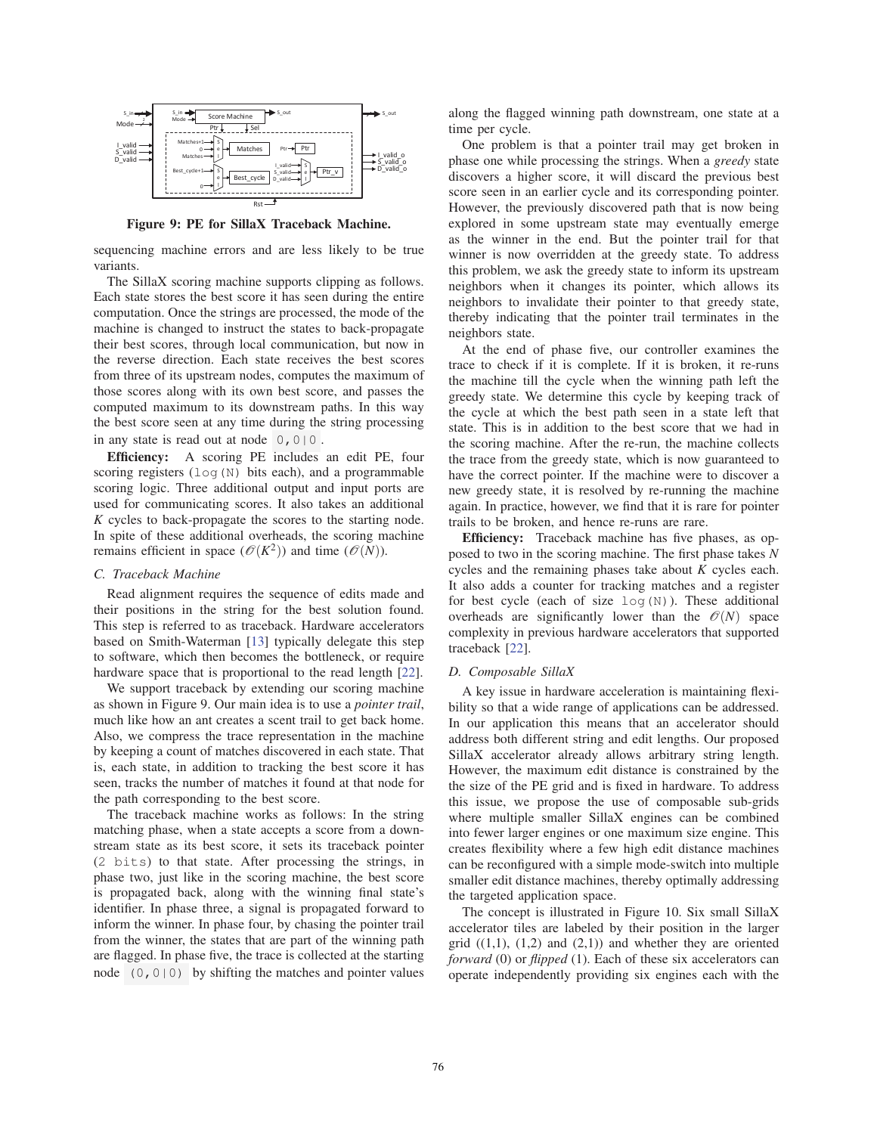

Figure 9: PE for SillaX Traceback Machine.

sequencing machine errors and are less likely to be true variants.

The SillaX scoring machine supports clipping as follows. Each state stores the best score it has seen during the entire computation. Once the strings are processed, the mode of the machine is changed to instruct the states to back-propagate their best scores, through local communication, but now in the reverse direction. Each state receives the best scores from three of its upstream nodes, computes the maximum of those scores along with its own best score, and passes the computed maximum to its downstream paths. In this way the best score seen at any time during the string processing in any state is read out at node  $0,0|0$ .

Efficiency: A scoring PE includes an edit PE, four scoring registers (log(N) bits each), and a programmable scoring logic. Three additional output and input ports are used for communicating scores. It also takes an additional *K* cycles to back-propagate the scores to the starting node. In spite of these additional overheads, the scoring machine remains efficient in space  $(\mathcal{O}(K^2))$  and time  $(\mathcal{O}(N))$ .

#### *C. Traceback Machine*

Read alignment requires the sequence of edits made and their positions in the string for the best solution found. This step is referred to as traceback. Hardware accelerators based on Smith-Waterman [13] typically delegate this step to software, which then becomes the bottleneck, or require hardware space that is proportional to the read length [22].

We support traceback by extending our scoring machine as shown in Figure 9. Our main idea is to use a *pointer trail*, much like how an ant creates a scent trail to get back home. Also, we compress the trace representation in the machine by keeping a count of matches discovered in each state. That is, each state, in addition to tracking the best score it has seen, tracks the number of matches it found at that node for the path corresponding to the best score.

The traceback machine works as follows: In the string matching phase, when a state accepts a score from a downstream state as its best score, it sets its traceback pointer (2 bits) to that state. After processing the strings, in phase two, just like in the scoring machine, the best score is propagated back, along with the winning final state's identifier. In phase three, a signal is propagated forward to inform the winner. In phase four, by chasing the pointer trail from the winner, the states that are part of the winning path are flagged. In phase five, the trace is collected at the starting node  $(0,0|0)$  by shifting the matches and pointer values along the flagged winning path downstream, one state at a time per cycle.

One problem is that a pointer trail may get broken in phase one while processing the strings. When a *greedy* state discovers a higher score, it will discard the previous best score seen in an earlier cycle and its corresponding pointer. However, the previously discovered path that is now being explored in some upstream state may eventually emerge as the winner in the end. But the pointer trail for that winner is now overridden at the greedy state. To address this problem, we ask the greedy state to inform its upstream neighbors when it changes its pointer, which allows its neighbors to invalidate their pointer to that greedy state, thereby indicating that the pointer trail terminates in the neighbors state.

At the end of phase five, our controller examines the trace to check if it is complete. If it is broken, it re-runs the machine till the cycle when the winning path left the greedy state. We determine this cycle by keeping track of the cycle at which the best path seen in a state left that state. This is in addition to the best score that we had in the scoring machine. After the re-run, the machine collects the trace from the greedy state, which is now guaranteed to have the correct pointer. If the machine were to discover a new greedy state, it is resolved by re-running the machine again. In practice, however, we find that it is rare for pointer trails to be broken, and hence re-runs are rare.

Efficiency: Traceback machine has five phases, as opposed to two in the scoring machine. The first phase takes *N* cycles and the remaining phases take about *K* cycles each. It also adds a counter for tracking matches and a register for best cycle (each of size  $log(N)$ ). These additional overheads are significantly lower than the  $\mathcal{O}(N)$  space complexity in previous hardware accelerators that supported traceback [22].

#### *D. Composable SillaX*

A key issue in hardware acceleration is maintaining flexibility so that a wide range of applications can be addressed. In our application this means that an accelerator should address both different string and edit lengths. Our proposed SillaX accelerator already allows arbitrary string length. However, the maximum edit distance is constrained by the the size of the PE grid and is fixed in hardware. To address this issue, we propose the use of composable sub-grids where multiple smaller SillaX engines can be combined into fewer larger engines or one maximum size engine. This creates flexibility where a few high edit distance machines can be reconfigured with a simple mode-switch into multiple smaller edit distance machines, thereby optimally addressing the targeted application space.

The concept is illustrated in Figure 10. Six small SillaX accelerator tiles are labeled by their position in the larger grid  $((1,1), (1,2)$  and  $(2,1))$  and whether they are oriented *forward* (0) or *flipped* (1). Each of these six accelerators can operate independently providing six engines each with the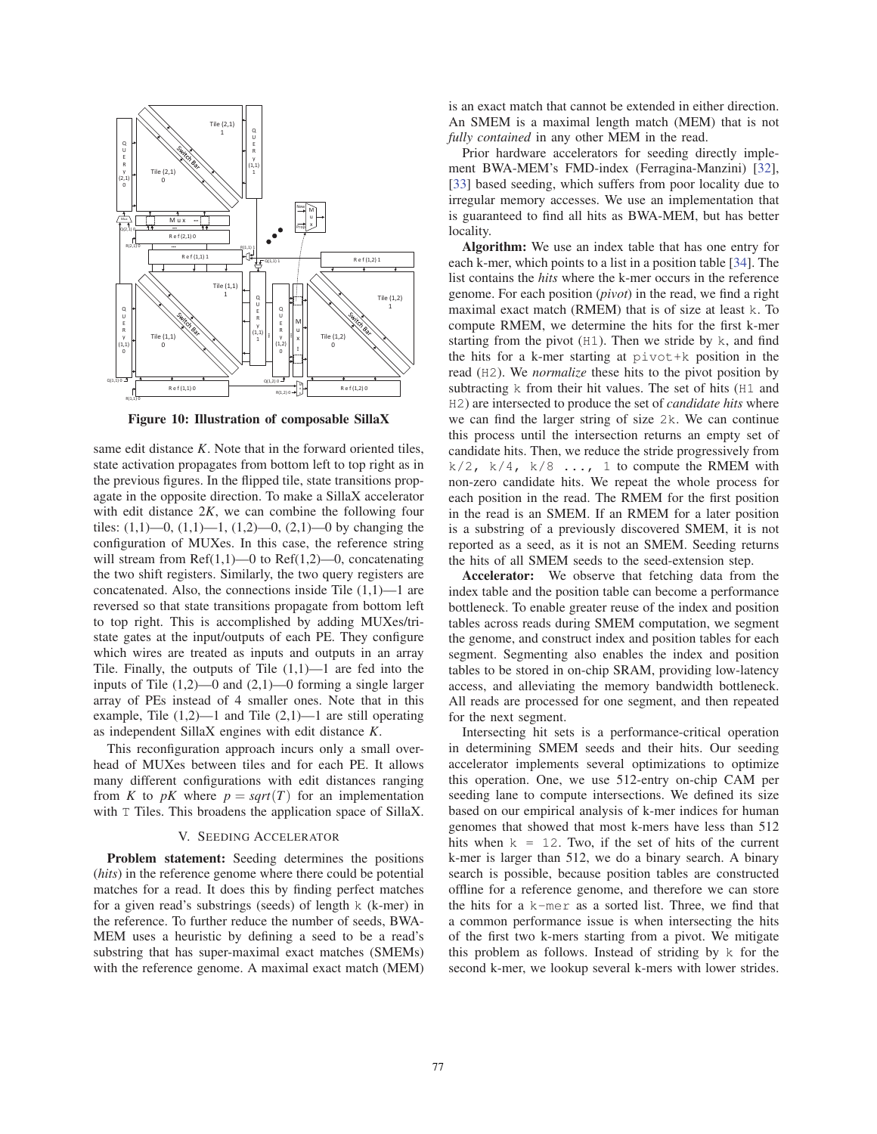

Figure 10: Illustration of composable SillaX

same edit distance *K*. Note that in the forward oriented tiles, state activation propagates from bottom left to top right as in the previous figures. In the flipped tile, state transitions propagate in the opposite direction. To make a SillaX accelerator with edit distance 2*K*, we can combine the following four tiles:  $(1,1)$ —0,  $(1,1)$ —1,  $(1,2)$ —0,  $(2,1)$ —0 by changing the configuration of MUXes. In this case, the reference string will stream from  $Ref(1,1)$ —0 to  $Ref(1,2)$ —0, concatenating the two shift registers. Similarly, the two query registers are concatenated. Also, the connections inside Tile  $(1,1)$ —1 are reversed so that state transitions propagate from bottom left to top right. This is accomplished by adding MUXes/tristate gates at the input/outputs of each PE. They configure which wires are treated as inputs and outputs in an array Tile. Finally, the outputs of Tile  $(1,1)$ —1 are fed into the inputs of Tile (1,2)—0 and (2,1)—0 forming a single larger array of PEs instead of 4 smaller ones. Note that in this example, Tile  $(1,2)$ —1 and Tile  $(2,1)$ —1 are still operating as independent SillaX engines with edit distance *K*.

This reconfiguration approach incurs only a small overhead of MUXes between tiles and for each PE. It allows many different configurations with edit distances ranging from *K* to *pK* where  $p = sqrt(T)$  for an implementation with T Tiles. This broadens the application space of SillaX.

## V. SEEDING ACCELERATOR

Problem statement: Seeding determines the positions (*hits*) in the reference genome where there could be potential matches for a read. It does this by finding perfect matches for a given read's substrings (seeds) of length k (k-mer) in the reference. To further reduce the number of seeds, BWA-MEM uses a heuristic by defining a seed to be a read's substring that has super-maximal exact matches (SMEMs) with the reference genome. A maximal exact match (MEM) is an exact match that cannot be extended in either direction. An SMEM is a maximal length match (MEM) that is not *fully contained* in any other MEM in the read.

Prior hardware accelerators for seeding directly implement BWA-MEM's FMD-index (Ferragina-Manzini) [32], [33] based seeding, which suffers from poor locality due to irregular memory accesses. We use an implementation that is guaranteed to find all hits as BWA-MEM, but has better locality.

Algorithm: We use an index table that has one entry for each k-mer, which points to a list in a position table [34]. The list contains the *hits* where the k-mer occurs in the reference genome. For each position (*pivot*) in the read, we find a right maximal exact match (RMEM) that is of size at least k. To compute RMEM, we determine the hits for the first k-mer starting from the pivot  $(H1)$ . Then we stride by k, and find the hits for a k-mer starting at pivot+k position in the read (H2). We *normalize* these hits to the pivot position by subtracting k from their hit values. The set of hits (H1 and H2) are intersected to produce the set of *candidate hits* where we can find the larger string of size 2k. We can continue this process until the intersection returns an empty set of candidate hits. Then, we reduce the stride progressively from  $k/2$ ,  $k/4$ ,  $k/8$  ..., 1 to compute the RMEM with non-zero candidate hits. We repeat the whole process for each position in the read. The RMEM for the first position in the read is an SMEM. If an RMEM for a later position is a substring of a previously discovered SMEM, it is not reported as a seed, as it is not an SMEM. Seeding returns the hits of all SMEM seeds to the seed-extension step.

Accelerator: We observe that fetching data from the index table and the position table can become a performance bottleneck. To enable greater reuse of the index and position tables across reads during SMEM computation, we segment the genome, and construct index and position tables for each segment. Segmenting also enables the index and position tables to be stored in on-chip SRAM, providing low-latency access, and alleviating the memory bandwidth bottleneck. All reads are processed for one segment, and then repeated for the next segment.

Intersecting hit sets is a performance-critical operation in determining SMEM seeds and their hits. Our seeding accelerator implements several optimizations to optimize this operation. One, we use 512-entry on-chip CAM per seeding lane to compute intersections. We defined its size based on our empirical analysis of k-mer indices for human genomes that showed that most k-mers have less than 512 hits when  $k = 12$ . Two, if the set of hits of the current k-mer is larger than 512, we do a binary search. A binary search is possible, because position tables are constructed offline for a reference genome, and therefore we can store the hits for a k-mer as a sorted list. Three, we find that a common performance issue is when intersecting the hits of the first two k-mers starting from a pivot. We mitigate this problem as follows. Instead of striding by k for the second k-mer, we lookup several k-mers with lower strides.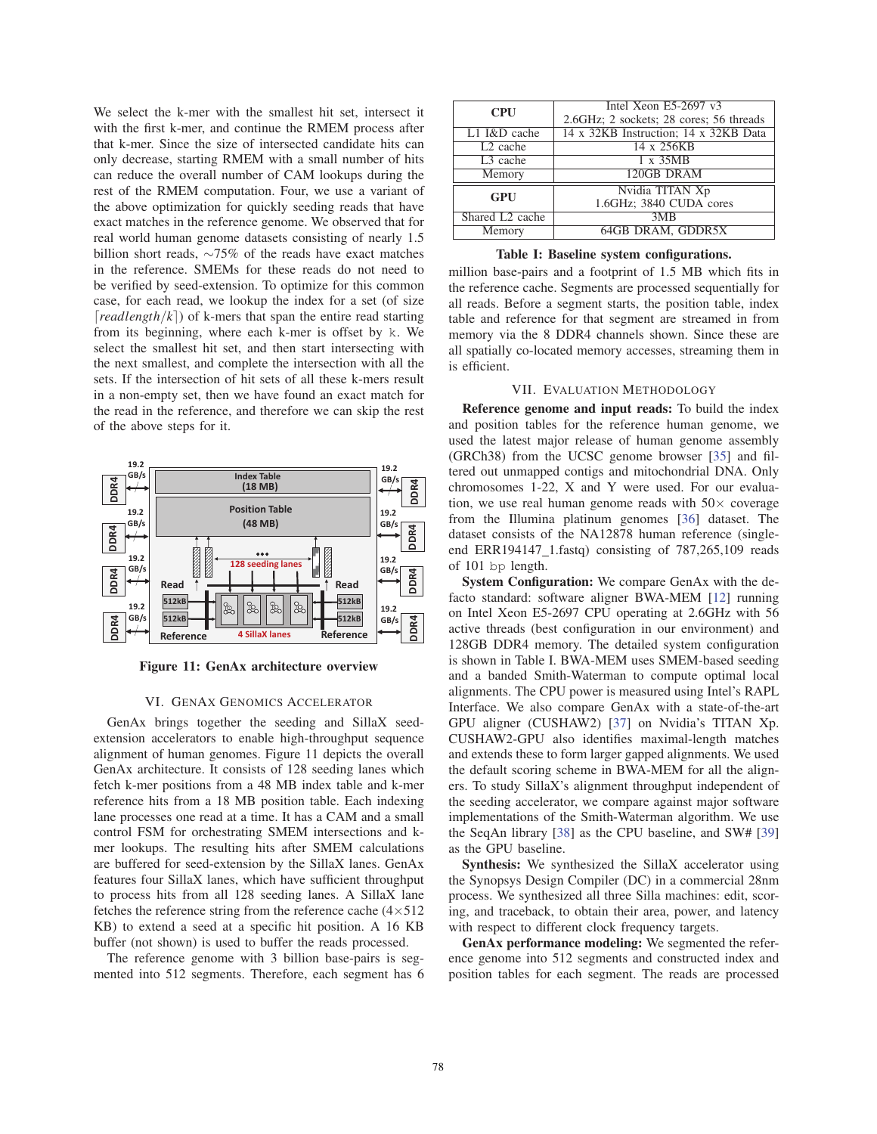We select the k-mer with the smallest hit set, intersect it with the first k-mer, and continue the RMEM process after that k-mer. Since the size of intersected candidate hits can only decrease, starting RMEM with a small number of hits can reduce the overall number of CAM lookups during the rest of the RMEM computation. Four, we use a variant of the above optimization for quickly seeding reads that have exact matches in the reference genome. We observed that for real world human genome datasets consisting of nearly 1.5 billion short reads, ∼75% of the reads have exact matches in the reference. SMEMs for these reads do not need to be verified by seed-extension. To optimize for this common case, for each read, we lookup the index for a set (of size  $\lceil \text{readlength}/k \rceil$  of k-mers that span the entire read starting from its beginning, where each k-mer is offset by k. We select the smallest hit set, and then start intersecting with the next smallest, and complete the intersection with all the sets. If the intersection of hit sets of all these k-mers result in a non-empty set, then we have found an exact match for the read in the reference, and therefore we can skip the rest of the above steps for it.



Figure 11: GenAx architecture overview

#### VI. GENAX GENOMICS ACCELERATOR

GenAx brings together the seeding and SillaX seedextension accelerators to enable high-throughput sequence alignment of human genomes. Figure 11 depicts the overall GenAx architecture. It consists of 128 seeding lanes which fetch k-mer positions from a 48 MB index table and k-mer reference hits from a 18 MB position table. Each indexing lane processes one read at a time. It has a CAM and a small control FSM for orchestrating SMEM intersections and kmer lookups. The resulting hits after SMEM calculations are buffered for seed-extension by the SillaX lanes. GenAx features four SillaX lanes, which have sufficient throughput to process hits from all 128 seeding lanes. A SillaX lane fetches the reference string from the reference cache  $(4\times512)$ KB) to extend a seed at a specific hit position. A 16 KB buffer (not shown) is used to buffer the reads processed.

The reference genome with 3 billion base-pairs is segmented into 512 segments. Therefore, each segment has 6

| <b>CPU</b>                  | Intel Xeon E5-2697 $v3$                 |
|-----------------------------|-----------------------------------------|
|                             | 2.6GHz; 2 sockets; 28 cores; 56 threads |
| L1 I&D cache                | 14 x 32KB Instruction; 14 x 32KB Data   |
| L <sub>2</sub> cache        | 14 x 256KB                              |
| L <sub>3</sub> cache        | $1 \times 35MB$                         |
| Memory                      | 120GB DRAM                              |
| GPU                         | Nvidia TITAN Xp                         |
|                             | 1.6GHz; 3840 CUDA cores                 |
| Shared L <sub>2</sub> cache | 3MB                                     |
| Memory                      | <b>64GB DRAM, GDDR5X</b>                |

#### Table I: Baseline system configurations.

million base-pairs and a footprint of 1.5 MB which fits in the reference cache. Segments are processed sequentially for all reads. Before a segment starts, the position table, index table and reference for that segment are streamed in from memory via the 8 DDR4 channels shown. Since these are all spatially co-located memory accesses, streaming them in is efficient.

## VII. EVALUATION METHODOLOGY

Reference genome and input reads: To build the index and position tables for the reference human genome, we used the latest major release of human genome assembly (GRCh38) from the UCSC genome browser [35] and filtered out unmapped contigs and mitochondrial DNA. Only chromosomes 1-22, X and Y were used. For our evaluation, we use real human genome reads with  $50\times$  coverage from the Illumina platinum genomes [36] dataset. The dataset consists of the NA12878 human reference (singleend ERR194147\_1.fastq) consisting of 787,265,109 reads of 101 bp length.

System Configuration: We compare GenAx with the defacto standard: software aligner BWA-MEM [12] running on Intel Xeon E5-2697 CPU operating at 2.6GHz with 56 active threads (best configuration in our environment) and 128GB DDR4 memory. The detailed system configuration is shown in Table I. BWA-MEM uses SMEM-based seeding and a banded Smith-Waterman to compute optimal local alignments. The CPU power is measured using Intel's RAPL Interface. We also compare GenAx with a state-of-the-art GPU aligner (CUSHAW2) [37] on Nvidia's TITAN Xp. CUSHAW2-GPU also identifies maximal-length matches and extends these to form larger gapped alignments. We used the default scoring scheme in BWA-MEM for all the aligners. To study SillaX's alignment throughput independent of the seeding accelerator, we compare against major software implementations of the Smith-Waterman algorithm. We use the SeqAn library [38] as the CPU baseline, and SW# [39] as the GPU baseline.

Synthesis: We synthesized the SillaX accelerator using the Synopsys Design Compiler (DC) in a commercial 28nm process. We synthesized all three Silla machines: edit, scoring, and traceback, to obtain their area, power, and latency with respect to different clock frequency targets.

GenAx performance modeling: We segmented the reference genome into 512 segments and constructed index and position tables for each segment. The reads are processed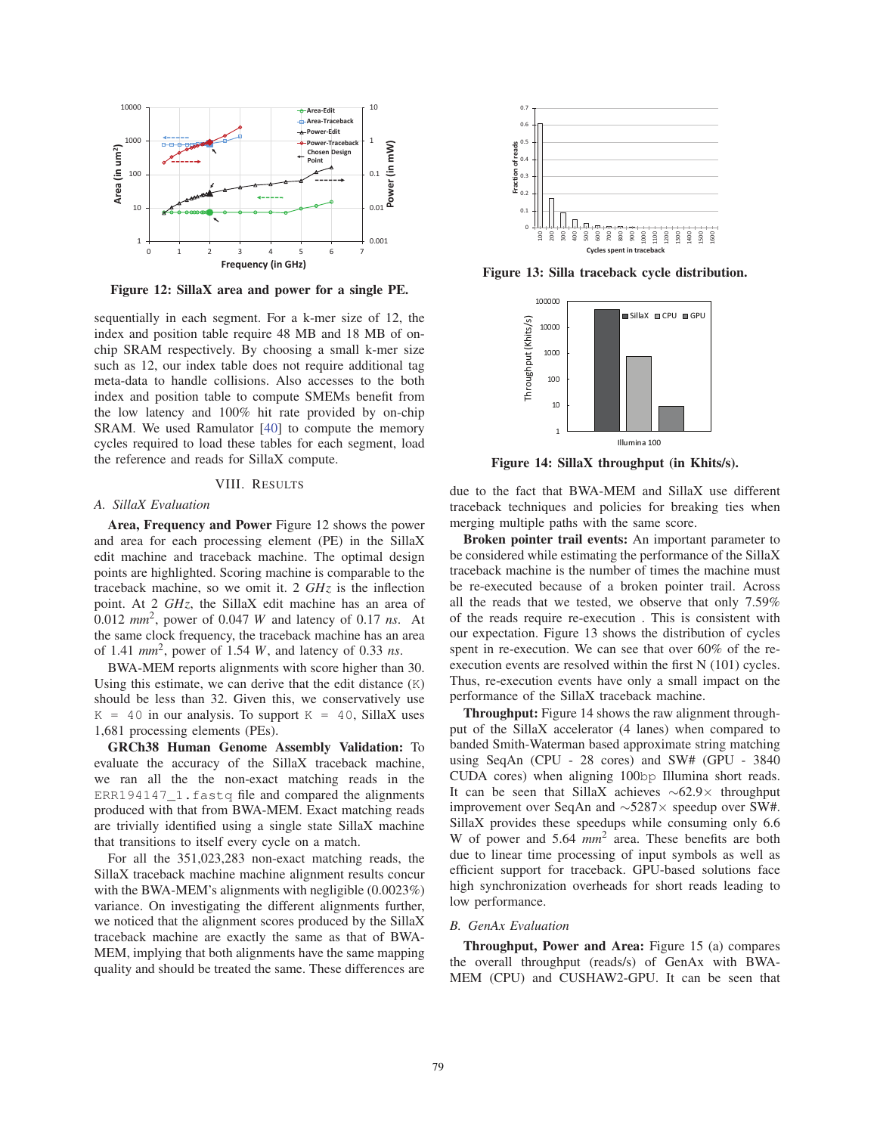

Figure 12: SillaX area and power for a single PE.

sequentially in each segment. For a k-mer size of 12, the index and position table require 48 MB and 18 MB of onchip SRAM respectively. By choosing a small k-mer size such as 12, our index table does not require additional tag meta-data to handle collisions. Also accesses to the both index and position table to compute SMEMs benefit from the low latency and 100% hit rate provided by on-chip SRAM. We used Ramulator [40] to compute the memory cycles required to load these tables for each segment, load the reference and reads for SillaX compute.

## VIII. RESULTS

#### *A. SillaX Evaluation*

Area, Frequency and Power Figure 12 shows the power and area for each processing element (PE) in the SillaX edit machine and traceback machine. The optimal design points are highlighted. Scoring machine is comparable to the traceback machine, so we omit it. 2 *GHz* is the inflection point. At 2 *GHz*, the SillaX edit machine has an area of 0.012 *mm*2, power of 0.047 *W* and latency of 0.17 *ns*. At the same clock frequency, the traceback machine has an area of 1.41 *mm*2, power of 1.54 *W*, and latency of 0.33 *ns*.

BWA-MEM reports alignments with score higher than 30. Using this estimate, we can derive that the edit distance (K) should be less than 32. Given this, we conservatively use  $K = 40$  in our analysis. To support  $K = 40$ , SillaX uses 1,681 processing elements (PEs).

GRCh38 Human Genome Assembly Validation: To evaluate the accuracy of the SillaX traceback machine, we ran all the the non-exact matching reads in the ERR194147\_1.fastq file and compared the alignments produced with that from BWA-MEM. Exact matching reads are trivially identified using a single state SillaX machine that transitions to itself every cycle on a match.

For all the 351,023,283 non-exact matching reads, the SillaX traceback machine machine alignment results concur with the BWA-MEM's alignments with negligible (0.0023%) variance. On investigating the different alignments further, we noticed that the alignment scores produced by the SillaX traceback machine are exactly the same as that of BWA-MEM, implying that both alignments have the same mapping quality and should be treated the same. These differences are



Figure 13: Silla traceback cycle distribution.



Figure 14: SillaX throughput (in Khits/s).

due to the fact that BWA-MEM and SillaX use different traceback techniques and policies for breaking ties when merging multiple paths with the same score.

Broken pointer trail events: An important parameter to be considered while estimating the performance of the SillaX traceback machine is the number of times the machine must be re-executed because of a broken pointer trail. Across all the reads that we tested, we observe that only 7.59% of the reads require re-execution . This is consistent with our expectation. Figure 13 shows the distribution of cycles spent in re-execution. We can see that over 60% of the reexecution events are resolved within the first N (101) cycles. Thus, re-execution events have only a small impact on the performance of the SillaX traceback machine.

Throughput: Figure 14 shows the raw alignment throughput of the SillaX accelerator (4 lanes) when compared to banded Smith-Waterman based approximate string matching using SeqAn (CPU - 28 cores) and SW# (GPU - 3840 CUDA cores) when aligning 100bp Illumina short reads. It can be seen that SillaX achieves ∼62.9× throughput improvement over SeqAn and ∼5287× speedup over SW#. SillaX provides these speedups while consuming only 6.6 W of power and 5.64  $mm^2$  area. These benefits are both due to linear time processing of input symbols as well as efficient support for traceback. GPU-based solutions face high synchronization overheads for short reads leading to low performance.

#### *B. GenAx Evaluation*

Throughput, Power and Area: Figure 15 (a) compares the overall throughput (reads/s) of GenAx with BWA-MEM (CPU) and CUSHAW2-GPU. It can be seen that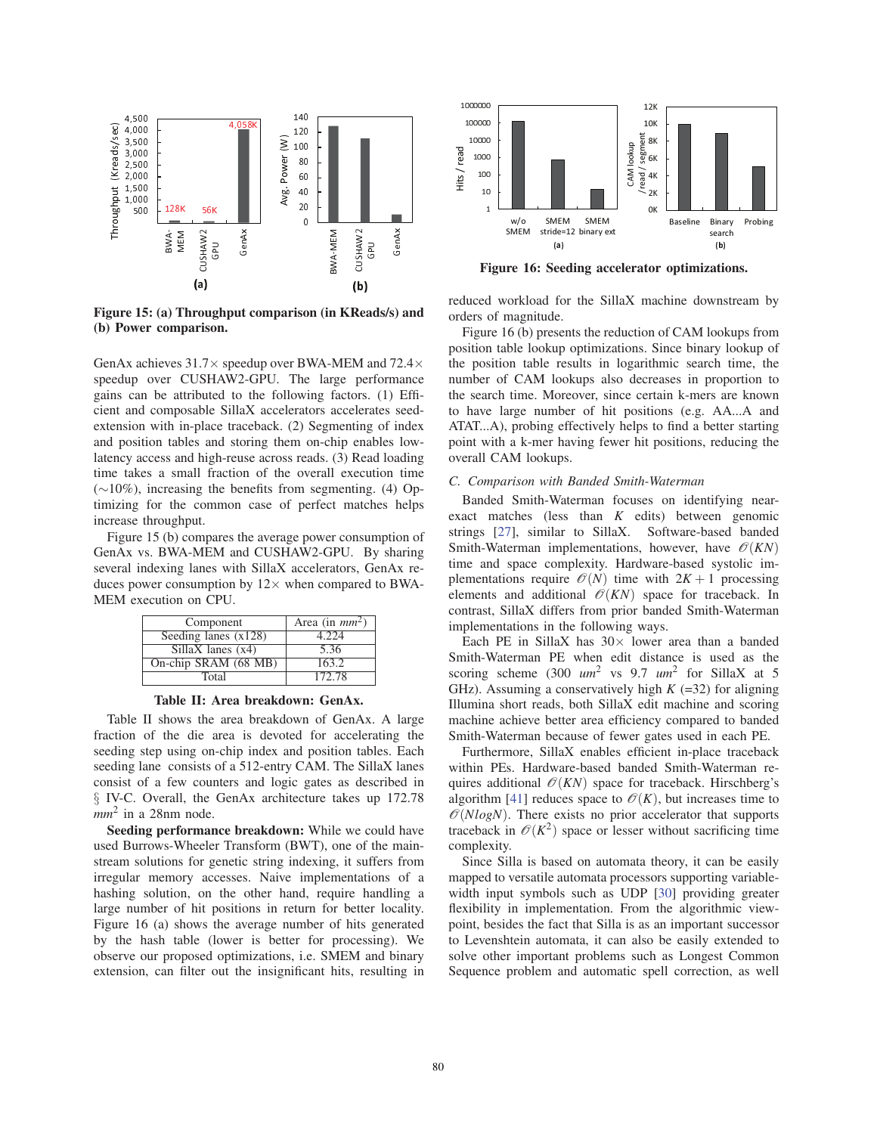

 $100$ w/o SMEM SMEM stride=12 binary ext SMEM Hits/read 0K  $2k$  $\frac{1}{\sqrt{6}}$  4K 6K 8К  $10K$  $12K$ **Baseline** Binary search Probing CAM lookup /read/segment  $\overline{a}$ 

Figure 16: Seeding accelerator optimizations.

Figure 15: (a) Throughput comparison (in KReads/s) and (b) Power comparison.

GenAx achieves  $31.7\times$  speedup over BWA-MEM and  $72.4\times$ speedup over CUSHAW2-GPU. The large performance gains can be attributed to the following factors. (1) Efficient and composable SillaX accelerators accelerates seedextension with in-place traceback. (2) Segmenting of index and position tables and storing them on-chip enables lowlatency access and high-reuse across reads. (3) Read loading time takes a small fraction of the overall execution time (∼10%), increasing the benefits from segmenting. (4) Optimizing for the common case of perfect matches helps increase throughput.

Figure 15 (b) compares the average power consumption of GenAx vs. BWA-MEM and CUSHAW2-GPU. By sharing several indexing lanes with SillaX accelerators, GenAx reduces power consumption by  $12\times$  when compared to BWA-MEM execution on CPU.

| Component              | Area (in $mm2$ ) |
|------------------------|------------------|
| Seeding lanes $(x128)$ | 4.224            |
| SillaX lanes $(x4)$    | 5.36             |
| On-chip SRAM (68 MB)   | 163.2            |
| Total                  | 172.78           |

Table II: Area breakdown: GenAx.

Table II shows the area breakdown of GenAx. A large fraction of the die area is devoted for accelerating the seeding step using on-chip index and position tables. Each seeding lane consists of a 512-entry CAM. The SillaX lanes consist of a few counters and logic gates as described in § IV-C. Overall, the GenAx architecture takes up 172.78  $mm<sup>2</sup>$  in a 28nm node.

Seeding performance breakdown: While we could have used Burrows-Wheeler Transform (BWT), one of the mainstream solutions for genetic string indexing, it suffers from irregular memory accesses. Naive implementations of a hashing solution, on the other hand, require handling a large number of hit positions in return for better locality. Figure 16 (a) shows the average number of hits generated by the hash table (lower is better for processing). We observe our proposed optimizations, i.e. SMEM and binary extension, can filter out the insignificant hits, resulting in reduced workload for the SillaX machine downstream by orders of magnitude.

Figure 16 (b) presents the reduction of CAM lookups from position table lookup optimizations. Since binary lookup of the position table results in logarithmic search time, the number of CAM lookups also decreases in proportion to the search time. Moreover, since certain k-mers are known to have large number of hit positions (e.g. AA...A and ATAT...A), probing effectively helps to find a better starting point with a k-mer having fewer hit positions, reducing the overall CAM lookups.

## *C. Comparison with Banded Smith-Waterman*

Banded Smith-Waterman focuses on identifying nearexact matches (less than *K* edits) between genomic strings [27], similar to SillaX. Software-based banded Smith-Waterman implementations, however, have  $\mathcal{O}(KN)$ time and space complexity. Hardware-based systolic implementations require  $\mathcal{O}(N)$  time with  $2K + 1$  processing elements and additional  $\mathcal{O}(KN)$  space for traceback. In contrast, SillaX differs from prior banded Smith-Waterman implementations in the following ways.

Each PE in SillaX has  $30 \times$  lower area than a banded Smith-Waterman PE when edit distance is used as the scoring scheme (300 *um*<sup>2</sup> vs 9.7 *um*<sup>2</sup> for SillaX at 5 GHz). Assuming a conservatively high  $K$  (=32) for aligning Illumina short reads, both SillaX edit machine and scoring machine achieve better area efficiency compared to banded Smith-Waterman because of fewer gates used in each PE.

Furthermore, SillaX enables efficient in-place traceback within PEs. Hardware-based banded Smith-Waterman requires additional  $\mathcal{O}(KN)$  space for traceback. Hirschberg's algorithm [41] reduces space to  $\mathcal{O}(K)$ , but increases time to  $\mathcal{O}(NlogN)$ . There exists no prior accelerator that supports traceback in  $\mathcal{O}(K^2)$  space or lesser without sacrificing time complexity.

Since Silla is based on automata theory, it can be easily mapped to versatile automata processors supporting variablewidth input symbols such as UDP [30] providing greater flexibility in implementation. From the algorithmic viewpoint, besides the fact that Silla is as an important successor to Levenshtein automata, it can also be easily extended to solve other important problems such as Longest Common Sequence problem and automatic spell correction, as well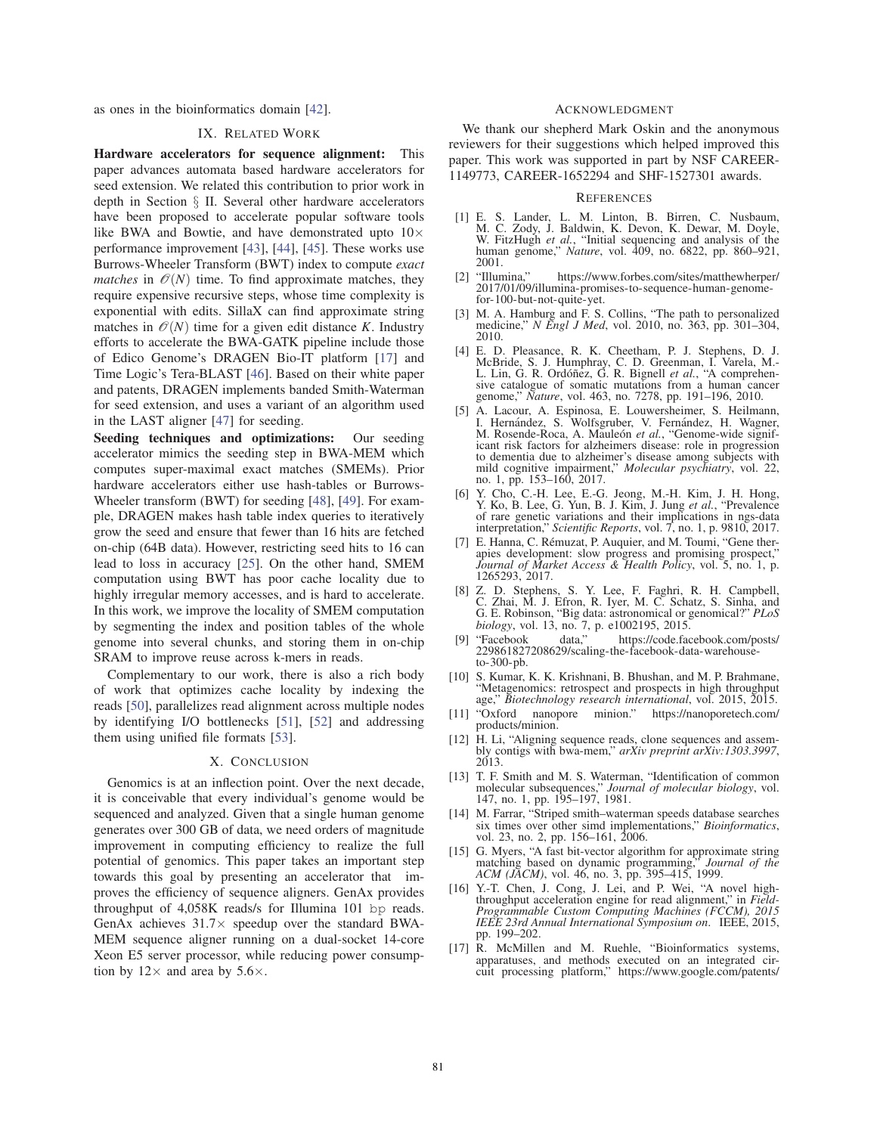as ones in the bioinformatics domain [42].

### IX. RELATED WORK

Hardware accelerators for sequence alignment: This paper advances automata based hardware accelerators for seed extension. We related this contribution to prior work in depth in Section § II. Several other hardware accelerators have been proposed to accelerate popular software tools like BWA and Bowtie, and have demonstrated upto  $10\times$ performance improvement [43], [44], [45]. These works use Burrows-Wheeler Transform (BWT) index to compute *exact matches* in  $\mathcal{O}(N)$  time. To find approximate matches, they require expensive recursive steps, whose time complexity is exponential with edits. SillaX can find approximate string matches in  $\mathcal{O}(N)$  time for a given edit distance *K*. Industry efforts to accelerate the BWA-GATK pipeline include those of Edico Genome's DRAGEN Bio-IT platform [17] and Time Logic's Tera-BLAST [46]. Based on their white paper and patents, DRAGEN implements banded Smith-Waterman for seed extension, and uses a variant of an algorithm used in the LAST aligner [47] for seeding.

Seeding techniques and optimizations: Our seeding accelerator mimics the seeding step in BWA-MEM which computes super-maximal exact matches (SMEMs). Prior hardware accelerators either use hash-tables or Burrows-Wheeler transform (BWT) for seeding [48], [49]. For example, DRAGEN makes hash table index queries to iteratively grow the seed and ensure that fewer than 16 hits are fetched on-chip (64B data). However, restricting seed hits to 16 can lead to loss in accuracy [25]. On the other hand, SMEM computation using BWT has poor cache locality due to highly irregular memory accesses, and is hard to accelerate. In this work, we improve the locality of SMEM computation by segmenting the index and position tables of the whole genome into several chunks, and storing them in on-chip SRAM to improve reuse across k-mers in reads.

Complementary to our work, there is also a rich body of work that optimizes cache locality by indexing the reads [50], parallelizes read alignment across multiple nodes by identifying I/O bottlenecks [51], [52] and addressing them using unified file formats [53].

## X. CONCLUSION

Genomics is at an inflection point. Over the next decade, it is conceivable that every individual's genome would be sequenced and analyzed. Given that a single human genome generates over 300 GB of data, we need orders of magnitude improvement in computing efficiency to realize the full potential of genomics. This paper takes an important step towards this goal by presenting an accelerator that improves the efficiency of sequence aligners. GenAx provides throughput of 4,058K reads/s for Illumina 101 bp reads. GenAx achieves  $31.7\times$  speedup over the standard BWA-MEM sequence aligner running on a dual-socket 14-core Xeon E5 server processor, while reducing power consumption by  $12\times$  and area by  $5.6\times$ .

## ACKNOWLEDGMENT

We thank our shepherd Mark Oskin and the anonymous reviewers for their suggestions which helped improved this paper. This work was supported in part by NSF CAREER-1149773, CAREER-1652294 and SHF-1527301 awards.

#### **REFERENCES**

- [1] E. S. Lander, L. M. Linton, B. Birren, C. Nusbaum, M. C. Zody, J. Baldwin, K. Devon, K. Dewar, M. Doyle, W. FitzHugh *et al.*, "Initial sequencing and analysis of the human genome," *Nature*, vol. 409, no. 6822, pp. 860–921, 2001.
- [2] "Illumina," https://www.forbes.com/sites/matthewherper/ 2017/01/09/illumina-promises-to-sequence-human-genomefor-100-but-not-quite-yet.
- [3] M. A. Hamburg and F. S. Collins, "The path to personalized medicine," *N Engl J Med*, vol. 2010, no. 363, pp. 301–304, 2010.
- [4] E. D. Pleasance, R. K. Cheetham, P. J. Stephens, D. J. McBride, S. J. Humphray, C. D. Greenman, I. Varela, M.- L. Lin, G. R. Ordo´nez, G. R. Bignell ˜ *et al.*, "A comprehensive catalogue of somatic mutations from a human cancer genome," *Nature*, vol. 463, no. 7278, pp. 191–196, 2010.
- [5] A. Lacour, A. Espinosa, E. Louwersheimer, S. Heilmann, M. Rosende-Roca, A. Mauleón et al., "Genome-wide significant risk factors for alzheimers disease: role in progression to dementia due to alzheimer's disease among subjects with mild cognitive impairment," *Molecular psychiatry*, vol. 22, no. 1, pp. 153–160, 2017.
- [6] Y. Cho, C.-H. Lee, E.-G. Jeong, M.-H. Kim, J. H. Hong, Y. Ko, B. Lee, G. Yun, B. J. Kim, J. Jung *et al.*, "Prevalence of rare genetic variations and their implications in ngs-data interpretation," *Scientific Reports*, vol. 7, no. 1, p. 9810, 2017.
- [7] E. Hanna, C. Rémuzat, P. Auquier, and M. Toumi, "Gene ther-<br>apies development: slow progress and promising prospect,"<br>*Journal of Market Access & Health Policy*, vol. 5, no. 1, p. 1265293, 2017.
- [8] Z. D. Stephens, S. Y. Lee, F. Faghri, R. H. Campbell, C. Zhai, M. J. Efron, R. Iyer, M. C. Schatz, S. Sinha, and G. E. Robinson, "Big data: astronomical or genomical?" *PLoS biology*, vol. 13, no. 7, p. e1002195, 2015.
- [9] "Facebook data," https://code.facebook.com/posts/ 229861827208629/scaling-the-facebook-data-warehouseto-300-pb.
- [10] S. Kumar, K. K. Krishnani, B. Bhushan, and M. P. Brahmane, "Metagenomics: retrospect and prospects in high throughput age," *Biotechnology research international*, vol. 2015, 2015.
- [11] "Oxford nanopore minion." https://nanoporetech.com/ products/minion.
- [12] H. Li, "Aligning sequence reads, clone sequences and assembly contigs with bwa-mem," *arXiv preprint arXiv:1303.3997*, 2013.
- [13] T. F. Smith and M. S. Waterman, "Identification of common molecular subsequences," *Journal of molecular biology*, vol. 147, no. 1, pp. 195–197, 1981.
- [14] M. Farrar, "Striped smith–waterman speeds database searches six times over other simd implementations," *Bioinformatics*, vol. 23, no. 2, pp. 156–161, 2006.
- [15] G. Myers, "A fast bit-vector algorithm for approximate string matching based on dynamic programming," *Journal of the* matching based on dynamic programming," *Journal of the ACM (JACM)*, vol. 46, no. 3, pp. 395–415, 1999.
- [16] Y.-T. Chen, J. Cong, J. Lei, and P. Wei, "A novel highthroughput acceleration engine for read alignment," in *Field-Programmable Custom Computing Machines (FCCM), 2015 IEEE 23rd Annual International Symposium on*. IEEE, 2015, pp. 199–202.
- [17] R. McMillen and M. Ruehle, "Bioinformatics systems, apparatuses, and methods executed on an integrated cir-cuit processing platform," https://www.google.com/patents/